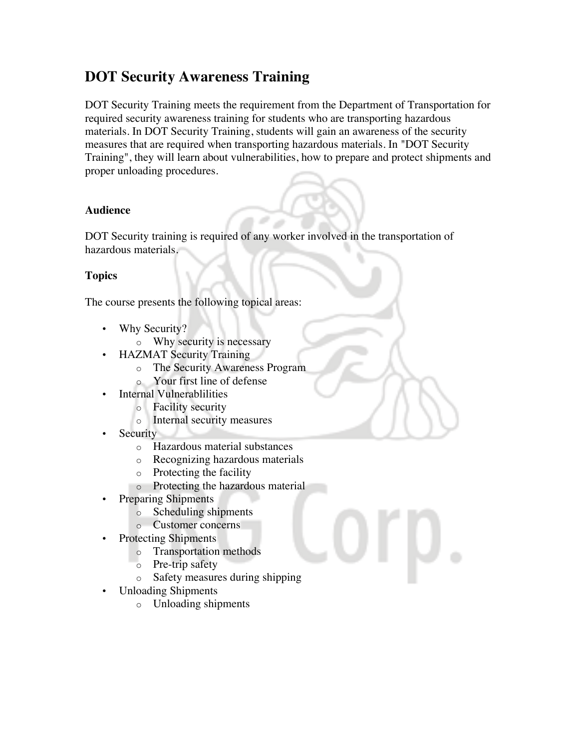## **DOT Security Awareness Training**

DOT Security Training meets the requirement from the Department of Transportation for required security awareness training for students who are transporting hazardous materials. In DOT Security Training, students will gain an awareness of the security measures that are required when transporting hazardous materials. In "DOT Security Training", they will learn about vulnerabilities, how to prepare and protect shipments and proper unloading procedures.

## **Audience**

DOT Security training is required of any worker involved in the transportation of hazardous materials.

## **Topics**

The course presents the following topical areas:

- Why Security?
	- o Why security is necessary
	- HAZMAT Security Training
		- o The Security Awareness Program
		- Your first line of defense
- Internal Vulnerablilities
	- o Facility security
	- o Internal security measures
- **Security** 
	- o Hazardous material substances
	- o Recognizing hazardous materials
	- o Protecting the facility
	- o Protecting the hazardous material
- Preparing Shipments
	- o Scheduling shipments
	- o Customer concerns
- Protecting Shipments
	- o Transportation methods
	- o Pre-trip safety
	- o Safety measures during shipping
- Unloading Shipments
	- o Unloading shipments